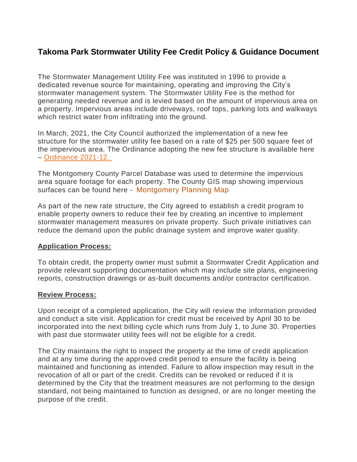# **Takoma Park Stormwater Utility Fee Credit Policy & Guidance Document**

The Stormwater Management Utility Fee was instituted in 1996 to provide a dedicated revenue source for maintaining, operating and improving the City's stormwater management system. The Stormwater Utility Fee is the method for generating needed revenue and is levied based on the amount of impervious area on a property. Impervious areas include driveways, roof tops, parking lots and walkways which restrict water from infiltrating into the ground.

In March, 2021, the City Council authorized the implementation of a new fee structure for the stormwater utility fee based on a rate of \$25 per 500 square feet of the impervious area. The Ordinance adopting the new fee structure is available here – [Ordinance](https://documents.takomaparkmd.gov/government/city-council/ordinances/2021/ordinance-2021-12.pdf) 2021-12.

The Montgomery County Parcel Database was used to determine the impervious area square footage for each property. The County GIS map showing impervious surfaces can be found here - [Montgomery](https://mcplanning.maps.arcgis.com/apps/webappviewer/index.html?id=942cd080339342d3b8c39bf8ccfb65ae) Planning Map

As part of the new rate structure, the City agreed to establish a credit program to enable property owners to reduce their fee by creating an incentive to implement stormwater management measures on private property. Such private initiatives can reduce the demand upon the public drainage system and improve water quality.

#### **Application Process:**

To obtain credit, the property owner must submit a Stormwater Credit Application and provide relevant supporting documentation which may include site plans, engineering reports, construction drawings or as-built documents and/or contractor certification.

#### **Review Process:**

Upon receipt of a completed application, the City will review the information provided and conduct a site visit. Application for credit must be received by April 30 to be incorporated into the next billing cycle which runs from July 1, to June 30. Properties with past due stormwater utility fees will not be eligible for a credit.

The City maintains the right to inspect the property at the time of credit application and at any time during the approved credit period to ensure the facility is being maintained and functioning as intended. Failure to allow inspection may result in the revocation of all or part of the credit. Credits can be revoked or reduced if it is determined by the City that the treatment measures are not performing to the design standard, not being maintained to function as designed, or are no longer meeting the purpose of the credit.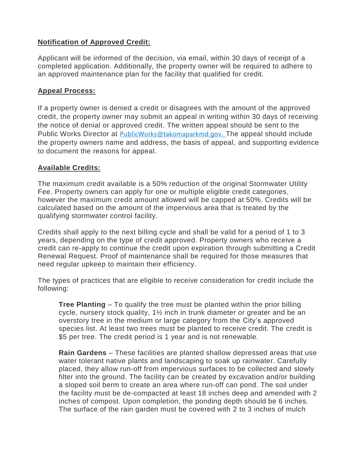# **Notification of Approved Credit:**

Applicant will be informed of the decision, via email, within 30 days of receipt of a completed application. Additionally, the property owner will be required to adhere to an approved maintenance plan for the facility that qualified for credit.

### **Appeal Process:**

If a property owner is denied a credit or disagrees with the amount of the approved credit, the property owner may submit an appeal in writing within 30 days of receiving the notice of denial or approved credit. The written appeal should be sent to the Public Works Director at [PublicWorks@takomaparkmd.gov](mailto:PublicWorks@takomaparkmd.gov). The appeal should include the property owners name and address, the basis of appeal, and supporting evidence to document the reasons for appeal.

### **Available Credits:**

The maximum credit available is a 50% reduction of the original Stormwater Utility Fee. Property owners can apply for one or multiple eligible credit categories, however the maximum credit amount allowed will be capped at 50%. Credits will be calculated based on the amount of the impervious area that is treated by the qualifying stormwater control facility.

Credits shall apply to the next billing cycle and shall be valid for a period of 1 to 3 years, depending on the type of credit approved. Property owners who receive a credit can re-apply to continue the credit upon expiration through submitting a Credit Renewal Request. Proof of maintenance shall be required for those measures that need regular upkeep to maintain their efficiency.

The types of practices that are eligible to receive consideration for credit include the following:

**Tree Planting** – To qualify the tree must be planted within the prior billing cycle, nursery stock quality, 1½ inch in trunk diameter or greater and be an overstory tree in the medium or large category from the City's approved species list. At least two trees must be planted to receive credit. The credit is \$5 per tree. The credit period is 1 year and is not renewable.

**Rain Gardens** – These facilities are planted shallow depressed areas that use water tolerant native plants and landscaping to soak up rainwater. Carefully placed, they allow run-off from impervious surfaces to be collected and slowly filter into the ground. The facility can be created by excavation and/or building a sloped soil berm to create an area where run-off can pond. The soil under the facility must be de-compacted at least 18 inches deep and amended with 2 inches of compost. Upon completion, the ponding depth should be 6 inches. The surface of the rain garden must be covered with 2 to 3 inches of mulch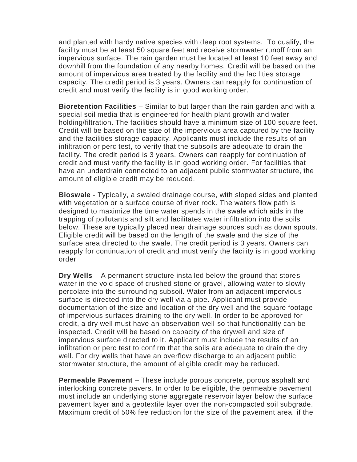and planted with hardy native species with deep root systems. To qualify, the facility must be at least 50 square feet and receive stormwater runoff from an impervious surface. The rain garden must be located at least 10 feet away and downhill from the foundation of any nearby homes. Credit will be based on the amount of impervious area treated by the facility and the facilities storage capacity. The credit period is 3 years. Owners can reapply for continuation of credit and must verify the facility is in good working order.

**Bioretention Facilities** – Similar to but larger than the rain garden and with a special soil media that is engineered for health plant growth and water holding/filtration. The facilities should have a minimum size of 100 square feet. Credit will be based on the size of the impervious area captured by the facility and the facilities storage capacity. Applicants must include the results of an infiltration or perc test, to verify that the subsoils are adequate to drain the facility. The credit period is 3 years. Owners can reapply for continuation of credit and must verify the facility is in good working order. For facilities that have an underdrain connected to an adjacent public stormwater structure, the amount of eligible credit may be reduced.

**Bioswale** - Typically, a swaled drainage course, with sloped sides and planted with vegetation or a surface course of river rock. The waters flow path is designed to maximize the time water spends in the swale which aids in the trapping of pollutants and silt and facilitates water infiltration into the soils below. These are typically placed near drainage sources such as down spouts. Eligible credit will be based on the length of the swale and the size of the surface area directed to the swale. The credit period is 3 years. Owners can reapply for continuation of credit and must verify the facility is in good working order

**Dry Wells** – A permanent structure installed below the ground that stores water in the void space of crushed stone or gravel, allowing water to slowly percolate into the surrounding subsoil. Water from an adjacent impervious surface is directed into the dry well via a pipe. Applicant must provide documentation of the size and location of the dry well and the square footage of impervious surfaces draining to the dry well. In order to be approved for credit, a dry well must have an observation well so that functionality can be inspected. Credit will be based on capacity of the drywell and size of impervious surface directed to it. Applicant must include the results of an infiltration or perc test to confirm that the soils are adequate to drain the dry well. For dry wells that have an overflow discharge to an adjacent public stormwater structure, the amount of eligible credit may be reduced.

**Permeable Pavement** – These include porous concrete, porous asphalt and interlocking concrete pavers. In order to be eligible, the permeable pavement must include an underlying stone aggregate reservoir layer below the surface pavement layer and a geotextile layer over the non-compacted soil subgrade. Maximum credit of 50% fee reduction for the size of the pavement area, if the